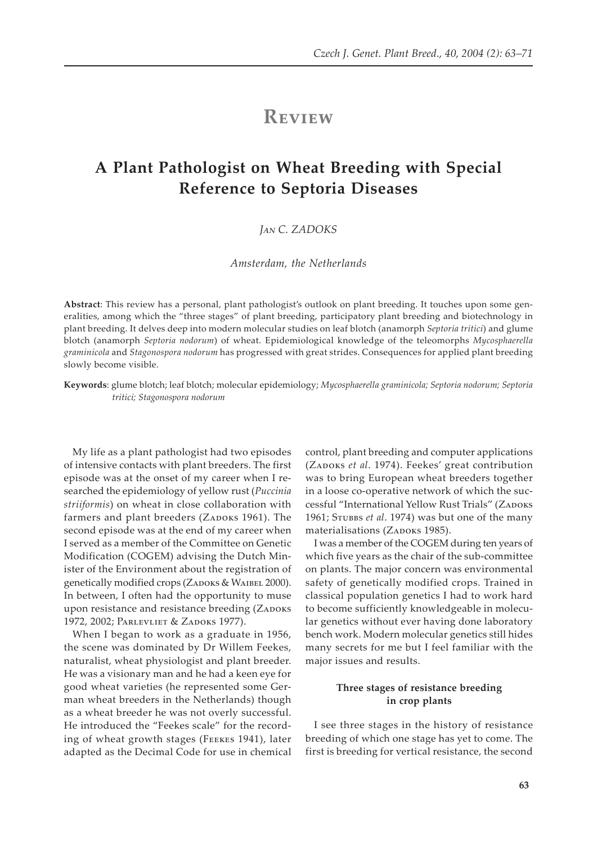## **REVIEW**

# **A Plant Pathologist on Wheat Breeding with Special Reference to Septoria Diseases**

## *J�� C. ZADOKS*

*Amsterdam, the Netherlands*

**Abstract**: This review has a personal, plant pathologist's outlook on plant breeding. It touches upon some generalities, among which the "three stages" of plant breeding, participatory plant breeding and biotechnology in plant breeding. It delves deep into modern molecular studies on leaf blotch (anamorph *Septoria tritici*) and glume blotch (anamorph *Septoria nodorum*) of wheat. Epidemiological knowledge of the teleomorphs *Mycosphaerella graminicola* and *Stagonospora nodorum* has progressed with great strides. Consequences for applied plant breeding slowly become visible.

**Keywords**: glume blotch; leaf blotch; molecular epidemiology; *Mycosphaerella graminicola; Septoria nodorum; Septoria tritici; Stagonospora nodorum*

My life as a plant pathologist had two episodes of intensive contacts with plant breeders. The first episode was at the onset of my career when I researched the epidemiology of yellow rust (*Puccinia striiformis*) on wheat in close collaboration with farmers and plant breeders (ZADOKS 1961). The second episode was at the end of my career when I served as a member of the Committee on Genetic Modification (COGEM) advising the Dutch Minister of the Environment about the registration of genetically modified crops (ZADOKS & WAIBEL 2000). In between, I often had the opportunity to muse upon resistance and resistance breeding (ZADOKS 1972, 2002; PARLEVLIET & ZADOKS 1977).

When I began to work as a graduate in 1956, the scene was dominated by Dr Willem Feekes, naturalist, wheat physiologist and plant breeder. He was a visionary man and he had a keen eye for good wheat varieties (he represented some German wheat breeders in the Netherlands) though as a wheat breeder he was not overly successful. He introduced the "Feekes scale" for the recording of wheat growth stages (FEEKES 1941), later adapted as the Decimal Code for use in chemical

control, plant breeding and computer applications (ZADOKS et al. 1974). Feekes' great contribution was to bring European wheat breeders together in a loose co-operative network of which the successful "International Yellow Rust Trials" (ZADOKS 1961; STUBBS et al. 1974) was but one of the many materialisations (ZADOKS 1985).

I was a member of the COGEM during ten years of which five years as the chair of the sub-committee on plants. The major concern was environmental safety of genetically modified crops. Trained in classical population genetics I had to work hard to become sufficiently knowledgeable in molecular genetics without ever having done laboratory bench work. Modern molecular genetics still hides many secrets for me but I feel familiar with the major issues and results.

## **Three stages of resistance breeding in crop plants**

I see three stages in the history of resistance breeding of which one stage has yet to come. The first is breeding for vertical resistance, the second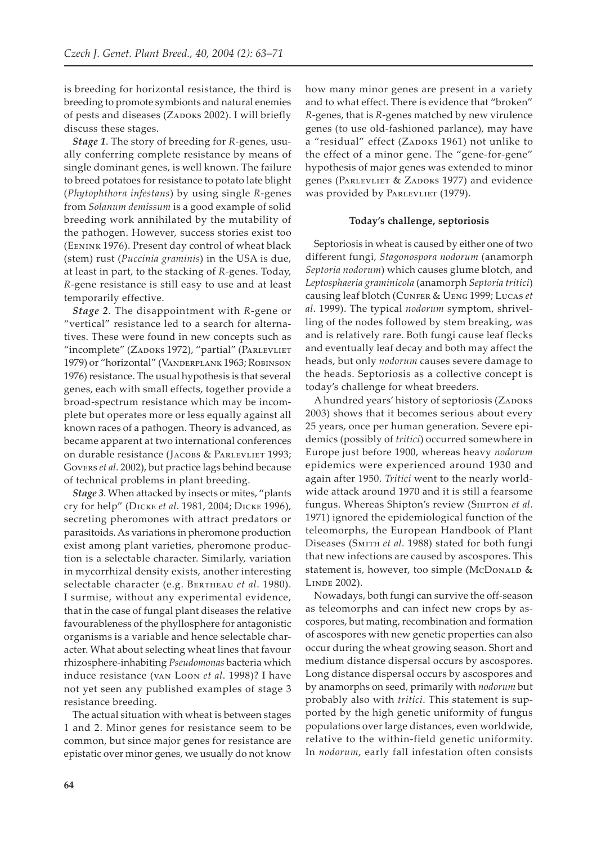is breeding for horizontal resistance, the third is breeding to promote symbionts and natural enemies of pests and diseases (ZADOKS 2002). I will briefly discuss these stages.

*Stage 1*. The story of breeding for *R*-genes, usually conferring complete resistance by means of single dominant genes, is well known. The failure to breed potatoes for resistance to potato late blight (*Phytophthora infestans*) by using single *R*-genes from *Solanum demissum* is a good example of solid breeding work annihilated by the mutability of the pathogen. However, success stories exist too (EENINK 1976). Present day control of wheat black (stem) rust (*Puccinia graminis*) in the USA is due, at least in part, to the stacking of *R*-genes. Today, *R*-gene resistance is still easy to use and at least temporarily effective.

*Stage 2*. The disappointment with *R*-gene or "vertical" resistance led to a search for alternatives. These were found in new concepts such as "incomplete" (ZADOKS 1972), "partial" (PARLEVLIET 1979) or "horizontal" (VANDERPLANK 1963; ROBINSON 1976) resistance. The usual hypothesis is that several genes, each with small effects, together provide a broad-spectrum resistance which may be incomplete but operates more or less equally against all known races of a pathogen. Theory is advanced, as became apparent at two international conferences on durable resistance (JACOBS & PARLEVLIET 1993; Govers et al. 2002), but practice lags behind because of technical problems in plant breeding.

*Stage 3*. When attacked by insects or mites, "plants cry for help" (D���� *et al*. 1981, 2004; D���� 1996), secreting pheromones with attract predators or parasitoids. As variations in pheromone production exist among plant varieties, pheromone production is a selectable character. Similarly, variation in mycorrhizal density exists, another interesting selectable character (e.g. BERTHEAU et al. 1980). I surmise, without any experimental evidence, that in the case of fungal plant diseases the relative favourableness of the phyllosphere for antagonistic organisms is a variable and hence selectable character. What about selecting wheat lines that favour rhizosphere-inhabiting *Pseudomonas* bacteria which induce resistance (VAN LOON et al. 1998)? I have not yet seen any published examples of stage 3 resistance breeding.

The actual situation with wheat is between stages 1 and 2. Minor genes for resistance seem to be common, but since major genes for resistance are epistatic over minor genes, we usually do not know

how many minor genes are present in a variety and to what effect. There is evidence that "broken" *R*-genes, that is *R*-genes matched by new virulence genes (to use old-fashioned parlance), may have a "residual" effect (ZADOKS 1961) not unlike to the effect of a minor gene. The "gene-for-gene" hypothesis of major genes was extended to minor genes (PARLEVLIET & ZADOKS 1977) and evidence was provided by PARLEVLIET (1979).

#### **Today's challenge, septoriosis**

Septoriosis in wheat is caused by either one of two different fungi, *Stagonospora nodorum* (anamorph *Septoria nodorum*) which causes glume blotch, and *Leptosphaeria graminicola* (anamorph *Septoria tritici*) causing leaf blotch (CUNFER & UENG 1999; LUCAS et *al*. 1999). The typical *nodorum* symptom, shrivelling of the nodes followed by stem breaking, was and is relatively rare. Both fungi cause leaf flecks and eventually leaf decay and both may affect the heads, but only *nodorum* causes severe damage to the heads. Septoriosis as a collective concept is today's challenge for wheat breeders.

A hundred years' history of septoriosis (ZADOKS 2003) shows that it becomes serious about every 25 years, once per human generation. Severe epidemics (possibly of *tritici*) occurred somewhere in Europe just before 1900, whereas heavy *nodorum* epidemics were experienced around 1930 and again after 1950. *Tritici* went to the nearly worldwide attack around 1970 and it is still a fearsome fungus. Whereas Shipton's review (Sнитом et al. 1971) ignored the epidemiological function of the teleomorphs, the European Handbook of Plant Diseases (SMITH et al. 1988) stated for both fungi that new infections are caused by ascospores. This statement is, however, too simple (McDoNALD & LINDE 2002).

Nowadays, both fungi can survive the off-season as teleomorphs and can infect new crops by ascospores, but mating, recombination and formation of ascospores with new genetic properties can also occur during the wheat growing season. Short and medium distance dispersal occurs by ascospores. Long distance dispersal occurs by ascospores and by anamorphs on seed, primarily with *nodorum* but probably also with *tritici*. This statement is supported by the high genetic uniformity of fungus populations over large distances, even worldwide, relative to the within-field genetic uniformity. In *nodorum*, early fall infestation often consists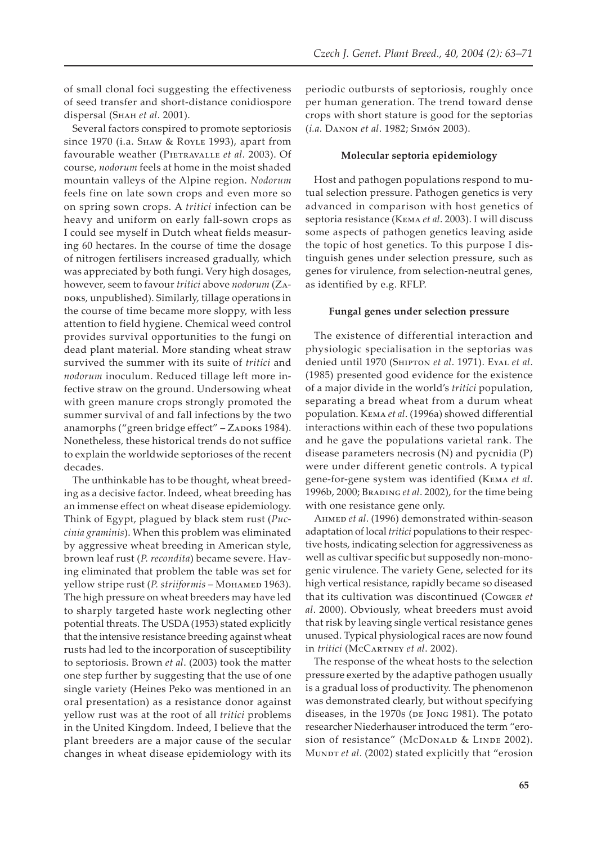of small clonal foci suggesting the effectiveness of seed transfer and short-distance conidiospore dispersal (Sнан et al. 2001).

Several factors conspired to promote septoriosis since 1970 (i.a. SHAW & ROYLE 1993), apart from favourable weather (PIETRAVALLE et al. 2003). Of course, *nodorum* feels at home in the moist shaded mountain valleys of the Alpine region. *Nodorum* feels fine on late sown crops and even more so on spring sown crops. A *tritici* infection can be heavy and uniform on early fall-sown crops as I could see myself in Dutch wheat fields measuring 60 hectares. In the course of time the dosage of nitrogen fertilisers increased gradually, which was appreciated by both fungi. Very high dosages, however, seem to favour *tritici* above nodorum (ZA-����, unpublished). Similarly, tillage operations in the course of time became more sloppy, with less attention to field hygiene. Chemical weed control provides survival opportunities to the fungi on dead plant material. More standing wheat straw survived the summer with its suite of *tritici* and *nodorum* inoculum. Reduced tillage left more infective straw on the ground. Undersowing wheat with green manure crops strongly promoted the summer survival of and fall infections by the two anamorphs ("green bridge effect" - ZADOKS 1984). Nonetheless, these historical trends do not suffice to explain the worldwide septorioses of the recent decades.

The unthinkable has to be thought, wheat breeding as a decisive factor. Indeed, wheat breeding has an immense effect on wheat disease epidemiology. Think of Egypt, plagued by black stem rust (*Puccinia graminis*). When this problem was eliminated by aggressive wheat breeding in American style, brown leaf rust (*P. recondita*) became severe. Having eliminated that problem the table was set for yellow stripe rust (*P. striiformis* – M������ 1963). The high pressure on wheat breeders may have led to sharply targeted haste work neglecting other potential threats. The USDA (1953) stated explicitly that the intensive resistance breeding against wheat rusts had led to the incorporation of susceptibility to septoriosis. Brown *et al*. (2003) took the matter one step further by suggesting that the use of one single variety (Heines Peko was mentioned in an oral presentation) as a resistance donor against yellow rust was at the root of all *tritici* problems in the United Kingdom. Indeed, I believe that the plant breeders are a major cause of the secular changes in wheat disease epidemiology with its periodic outbursts of septoriosis, roughly once per human generation. The trend toward dense crops with short stature is good for the septorias (*i.a.* DANON et al. 1982; SIMÓN 2003).

#### **Molecular septoria epidemiology**

Host and pathogen populations respond to mutual selection pressure. Pathogen genetics is very advanced in comparison with host genetics of septoria resistance (К*EMA et al.* 2003). I will discuss some aspects of pathogen genetics leaving aside the topic of host genetics. To this purpose I distinguish genes under selection pressure, such as genes for virulence, from selection-neutral genes, as identified by e.g. RFLP.

### **Fungal genes under selection pressure**

The existence of differential interaction and physiologic specialisation in the septorias was denied until 1970 (Sнитом et al. 1971). EvAL et al. (1985) presented good evidence for the existence of a major divide in the world's *tritici* population, separating a bread wheat from a durum wheat population. К*EMA et al.* (1996a) showed differential interactions within each of these two populations and he gave the populations varietal rank. The disease parameters necrosis (N) and pycnidia (P) were under different genetic controls. A typical gene-for-gene system was identified (КEMA et al. 1996b, 2000; BRADING et al. 2002), for the time being with one resistance gene only.

AHMED et al. (1996) demonstrated within-season adaptation of local *tritici* populations to their respective hosts, indicating selection for aggressiveness as well as cultivar specific but supposedly non-monogenic virulence. The variety Gene, selected for its high vertical resistance, rapidly became so diseased that its cultivation was discontinued (CowGER et *al*. 2000). Obviously, wheat breeders must avoid that risk by leaving single vertical resistance genes unused. Typical physiological races are now found in *tritici* (M�C������ *et al*. 2002).

The response of the wheat hosts to the selection pressure exerted by the adaptive pathogen usually is a gradual loss of productivity. The phenomenon was demonstrated clearly, but without specifying diseases, in the 1970s (DE JONG 1981). The potato researcher Niederhauser introduced the term "erosion of resistance" (McDonald & LINDE 2002). MUNDT *et al.* (2002) stated explicitly that "erosion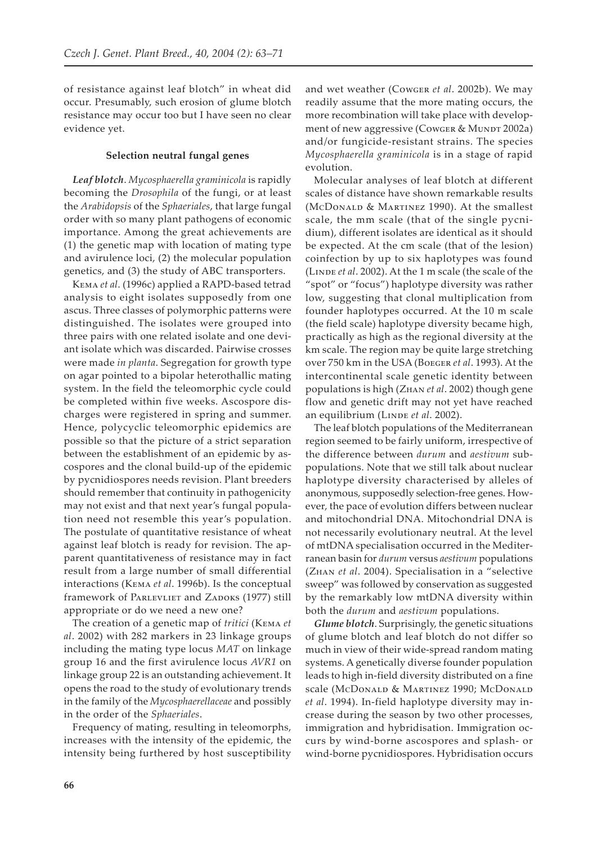of resistance against leaf blotch" in wheat did occur. Presumably, such erosion of glume blotch resistance may occur too but I have seen no clear evidence yet.

#### **Selection neutral fungal genes**

*Leaf blotch*. *Mycosphaerella graminicola* is rapidly becoming the *Drosophila* of the fungi, or at least the *Arabidopsis* of the *Sphaeriales*, that large fungal order with so many plant pathogens of economic importance. Among the great achievements are (1) the genetic map with location of mating type and avirulence loci, (2) the molecular population genetics, and (3) the study of ABC transporters.

K��� *et al*. (1996c) applied a RAPD-based tetrad analysis to eight isolates supposedly from one ascus. Three classes of polymorphic patterns were distinguished. The isolates were grouped into three pairs with one related isolate and one deviant isolate which was discarded. Pairwise crosses were made *in planta*. Segregation for growth type on agar pointed to a bipolar heterothallic mating system. In the field the teleomorphic cycle could be completed within five weeks. Ascospore discharges were registered in spring and summer. Hence, polycyclic teleomorphic epidemics are possible so that the picture of a strict separation between the establishment of an epidemic by ascospores and the clonal build-up of the epidemic by pycnidiospores needs revision. Plant breeders should remember that continuity in pathogenicity may not exist and that next year's fungal population need not resemble this year's population. The postulate of quantitative resistance of wheat against leaf blotch is ready for revision. The apparent quantitativeness of resistance may in fact result from a large number of small differential interactions (Кемл et al. 1996b). Is the conceptual framework of PARLEVLIET and ZADOKS (1977) still appropriate or do we need a new one?

The creation of a genetic map of *tritici* (Кемл *et al*. 2002) with 282 markers in 23 linkage groups including the mating type locus *MAT* on linkage group 16 and the first avirulence locus *AVR1* on linkage group 22 is an outstanding achievement. It opens the road to the study of evolutionary trends in the family of the *Mycosphaerellaceae* and possibly in the order of the *Sphaeriales*.

Frequency of mating, resulting in teleomorphs, increases with the intensity of the epidemic, the intensity being furthered by host susceptibility

and wet weather (Cowger *et al.* 2002b). We may readily assume that the more mating occurs, the more recombination will take place with development of new aggressive (Cowger & MUNDT 2002a) and/or fungicide-resistant strains. The species *Mycosphaerella graminicola* is in a stage of rapid evolution.

Molecular analyses of leaf blotch at different scales of distance have shown remarkable results (McDONALD & MARTINEZ 1990). At the smallest scale, the mm scale (that of the single pycnidium), different isolates are identical as it should be expected. At the cm scale (that of the lesion) coinfection by up to six haplotypes was found (LINDE *et al.* 2002). At the 1 m scale (the scale of the "spot" or "focus") haplotype diversity was rather low, suggesting that clonal multiplication from founder haplotypes occurred. At the 10 m scale (the field scale) haplotype diversity became high, practically as high as the regional diversity at the km scale. The region may be quite large stretching over 750 km in the USA (B����� *et al*. 1993). At the intercontinental scale genetic identity between populations is high (ZнAN et al. 2002) though gene flow and genetic drift may not yet have reached an equilibrium (LINDE et al. 2002).

The leaf blotch populations of the Mediterranean region seemed to be fairly uniform, irrespective of the difference between *durum* and *aestivum* subpopulations. Note that we still talk about nuclear haplotype diversity characterised by alleles of anonymous, supposedly selection-free genes. However, the pace of evolution differs between nuclear and mitochondrial DNA. Mitochondrial DNA is not necessarily evolutionary neutral. At the level of mtDNA specialisation occurred in the Mediterranean basin for *durum* versus *aestivum* populations (ZнаN et al. 2004). Specialisation in a "selective sweep" was followed by conservation as suggested by the remarkably low mtDNA diversity within both the *durum* and *aestivum* populations.

*Glume blotch*. Surprisingly, the genetic situations of glume blotch and leaf blotch do not differ so much in view of their wide-spread random mating systems. A genetically diverse founder population leads to high in-field diversity distributed on a fine scale (McDONALD & MARTINEZ 1990; McDONALD *et al*. 1994). In-field haplotype diversity may increase during the season by two other processes, immigration and hybridisation. Immigration occurs by wind-borne ascospores and splash- or wind-borne pycnidiospores. Hybridisation occurs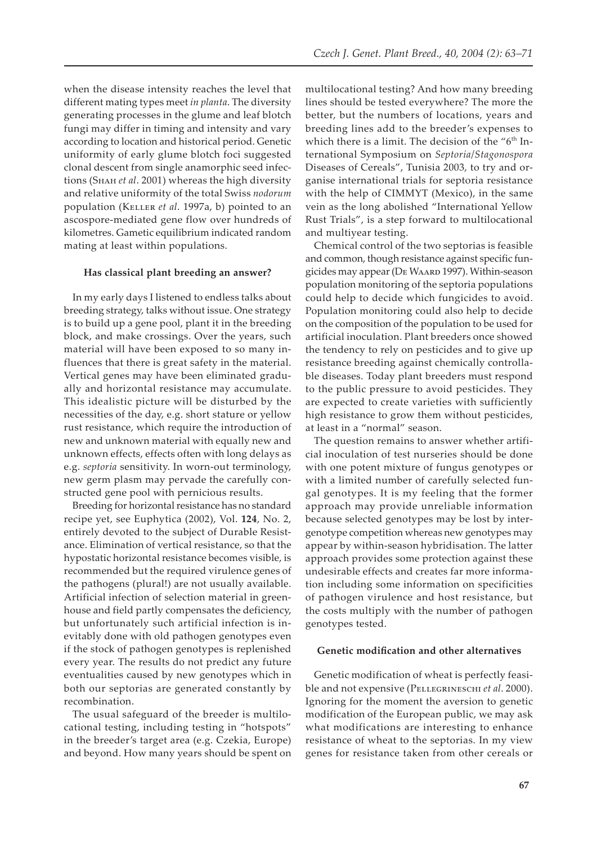when the disease intensity reaches the level that different mating types meet *in planta*. The diversity generating processes in the glume and leaf blotch fungi may differ in timing and intensity and vary according to location and historical period. Genetic uniformity of early glume blotch foci suggested clonal descent from single anamorphic seed infections (Sнан et al. 2001) whereas the high diversity and relative uniformity of the total Swiss *nodorum* population (KELLER et al. 1997a, b) pointed to an ascospore-mediated gene flow over hundreds of kilometres. Gametic equilibrium indicated random mating at least within populations.

#### **Has classical plant breeding an answer?**

In my early days I listened to endless talks about breeding strategy, talks without issue. One strategy is to build up a gene pool, plant it in the breeding block, and make crossings. Over the years, such material will have been exposed to so many influences that there is great safety in the material. Vertical genes may have been eliminated gradually and horizontal resistance may accumulate. This idealistic picture will be disturbed by the necessities of the day, e.g. short stature or yellow rust resistance, which require the introduction of new and unknown material with equally new and unknown effects, effects often with long delays as e.g. *septoria* sensitivity. In worn-out terminology, new germ plasm may pervade the carefully constructed gene pool with pernicious results.

Breeding for horizontal resistance has no standard recipe yet, see Euphytica (2002), Vol. **124**, No. 2, entirely devoted to the subject of Durable Resistance. Elimination of vertical resistance, so that the hypostatic horizontal resistance becomes visible, is recommended but the required virulence genes of the pathogens (plural!) are not usually available. Artificial infection of selection material in greenhouse and field partly compensates the deficiency, but unfortunately such artificial infection is inevitably done with old pathogen genotypes even if the stock of pathogen genotypes is replenished every year. The results do not predict any future eventualities caused by new genotypes which in both our septorias are generated constantly by recombination.

The usual safeguard of the breeder is multilocational testing, including testing in "hotspots" in the breeder's target area (e.g. Czekia, Europe) and beyond. How many years should be spent on

multilocational testing? And how many breeding lines should be tested everywhere? The more the better, but the numbers of locations, years and breeding lines add to the breeder's expenses to which there is a limit. The decision of the "6<sup>th</sup> International Symposium on *Septoria*/*Stagonospora* Diseases of Cereals", Tunisia 2003, to try and organise international trials for septoria resistance with the help of CIMMYT (Mexico), in the same vein as the long abolished "International Yellow Rust Trials", is a step forward to multilocational and multiyear testing.

Chemical control of the two septorias is feasible and common, though resistance against specific fungicides may appear (DE WAARD 1997). Within-season population monitoring of the septoria populations could help to decide which fungicides to avoid. Population monitoring could also help to decide on the composition of the population to be used for artificial inoculation. Plant breeders once showed the tendency to rely on pesticides and to give up resistance breeding against chemically controllable diseases. Today plant breeders must respond to the public pressure to avoid pesticides. They are expected to create varieties with sufficiently high resistance to grow them without pesticides, at least in a "normal" season.

The question remains to answer whether artificial inoculation of test nurseries should be done with one potent mixture of fungus genotypes or with a limited number of carefully selected fungal genotypes. It is my feeling that the former approach may provide unreliable information because selected genotypes may be lost by intergenotype competition whereas new genotypes may appear by within-season hybridisation. The latter approach provides some protection against these undesirable effects and creates far more information including some information on specificities of pathogen virulence and host resistance, but the costs multiply with the number of pathogen genotypes tested.

#### **Genetic modification and other alternatives**

Genetic modification of wheat is perfectly feasible and not expensive (PELLEGRINESCHI et al. 2000). Ignoring for the moment the aversion to genetic modification of the European public, we may ask what modifications are interesting to enhance resistance of wheat to the septorias. In my view genes for resistance taken from other cereals or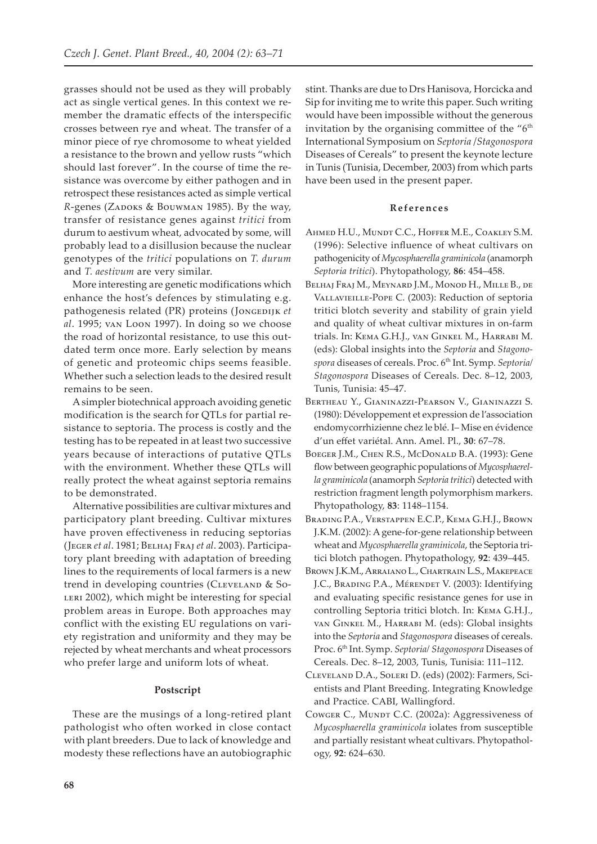grasses should not be used as they will probably act as single vertical genes. In this context we remember the dramatic effects of the interspecific crosses between rye and wheat. The transfer of a minor piece of rye chromosome to wheat yielded a resistance to the brown and yellow rusts "which should last forever". In the course of time the resistance was overcome by either pathogen and in retrospect these resistances acted as simple vertical R-genes (ZADOKS & BOUWMAN 1985). By the way, transfer of resistance genes against tritici from durum to aestivum wheat, advocated by some, will probably lead to a disillusion because the nuclear genotypes of the *tritici* populations on T. durum and T. aestivum are very similar.

More interesting are genetic modifications which enhance the host's defences by stimulating e.g. pathogenesis related (PR) proteins (JONGEDIJK et al. 1995; van Loon 1997). In doing so we choose the road of horizontal resistance, to use this outdated term once more. Early selection by means of genetic and proteomic chips seems feasible. Whether such a selection leads to the desired result remains to be seen.

A simpler biotechnical approach avoiding genetic modification is the search for QTLs for partial resistance to septoria. The process is costly and the testing has to be repeated in at least two successive years because of interactions of putative QTLs with the environment. Whether these QTLs will really protect the wheat against septoria remains to be demonstrated.

Alternative possibilities are cultivar mixtures and participatory plant breeding. Cultivar mixtures have proven effectiveness in reducing septorias (JEGER et al. 1981; BELHAJ FRAJ et al. 2003). Participatory plant breeding with adaptation of breeding lines to the requirements of local farmers is a new trend in developing countries (CLEVELAND & So-LERI 2002), which might be interesting for special problem areas in Europe. Both approaches may conflict with the existing EU regulations on variety registration and uniformity and they may be rejected by wheat merchants and wheat processors who prefer large and uniform lots of wheat.

### Postscript

These are the musings of a long-retired plant pathologist who often worked in close contact with plant breeders. Due to lack of knowledge and modesty these reflections have an autobiographic

stint. Thanks are due to Drs Hanisova, Horcicka and Sip for inviting me to write this paper. Such writing would have been impossible without the generous invitation by the organising committee of the "6<sup>th</sup> International Symposium on Septoria / Stagonospora Diseases of Cereals" to present the keynote lecture in Tunis (Tunisia, December, 2003) from which parts have been used in the present paper.

#### References

- AHMED H.U., MUNDT C.C., HOFFER M.E., COAKLEY S.M. (1996): Selective influence of wheat cultivars on pathogenicity of Mycosphaerella graminicola (anamorph Septoria tritici). Phytopathology, 86: 454-458.
- BELHAJ FRAJ M., MEYNARD J.M., MONOD H., MILLE B., DE VALLAVIEILLE-POPE C. (2003): Reduction of septoria tritici blotch severity and stability of grain yield and quality of wheat cultivar mixtures in on-farm trials. In: KEMA G.H.J., VAN GINKEL M., HARRABI M. (eds): Global insights into the Septoria and Stagonospora diseases of cereals. Proc. 6<sup>th</sup> Int. Symp. Septoria/ Stagonospora Diseases of Cereals. Dec. 8-12, 2003, Tunis, Tunisia: 45-47.
- BERTHEAU Y., GIANINAZZI-PEARSON V., GIANINAZZI S. (1980): Développement et expression de l'association endomycorrhizienne chez le blé. I-Mise en évidence d'un effet variétal. Ann. Amel. Pl., 30: 67-78.
- BOEGER J.M., CHEN R.S., McDONALD B.A. (1993): Gene flow between geographic populations of Mycosphaerella graminicola (anamorph Septoria tritici) detected with restriction fragment length polymorphism markers. Phytopathology, 83: 1148-1154.
- BRADING P.A., VERSTAPPEN E.C.P., KEMA G.H.J., BROWN J.K.M. (2002): A gene-for-gene relationship between wheat and Mycosphaerella graminicola, the Septoria tritici blotch pathogen. Phytopathology, 92: 439-445.
- BROWN J.K.M., ARRAIANO L., CHARTRAIN L.S., MAKEPEACE J.C., BRADING P.A., MÉRENDET V. (2003): Identifying and evaluating specific resistance genes for use in controlling Septoria tritici blotch. In: KEMA G.H.J., VAN GINKEL M., HARRABI M. (eds): Global insights into the Septoria and Stagonospora diseases of cereals. Proc. 6th Int. Symp. Septoria/ Stagonospora Diseases of Cereals. Dec. 8-12, 2003, Tunis, Tunisia: 111-112.
- CLEVELAND D.A., SOLERI D. (eds) (2002): Farmers, Scientists and Plant Breeding. Integrating Knowledge and Practice. CABI, Wallingford.
- COWGER C., MUNDT C.C. (2002a): Aggressiveness of Mycosphaerella graminicola iolates from susceptible and partially resistant wheat cultivars. Phytopathology, 92: 624-630.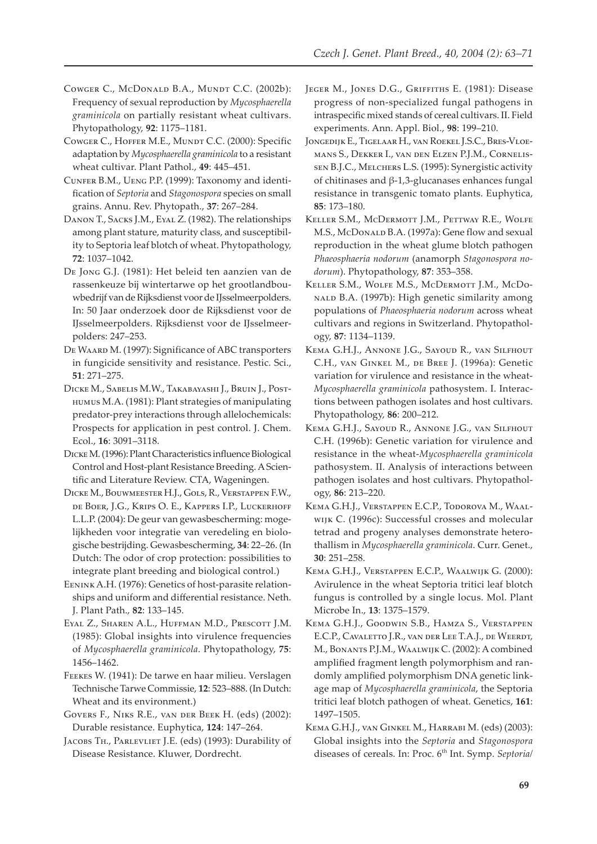- COWGER C., McDONALD B.A., MUNDT C.C. (2002b): Frequency of sexual reproduction by Mycosphaerella graminicola on partially resistant wheat cultivars. Phytopathology, 92: 1175-1181.
- COWGER C., HOFFER M.E., MUNDT C.C. (2000): Specific adaptation by Mycosphaerella graminicola to a resistant wheat cultivar. Plant Pathol., 49: 445-451.
- CUNFER B.M., UENG P.P. (1999): Taxonomy and identification of Septoria and Stagonospora species on small grains. Annu. Rev. Phytopath., 37: 267-284.
- DANON T., SACKS J.M., EYAL Z. (1982). The relationships among plant stature, maturity class, and susceptibility to Septoria leaf blotch of wheat. Phytopathology, 72: 1037-1042.
- DE JONG G.J. (1981): Het beleid ten aanzien van de rassenkeuze bij wintertarwe op het grootlandbouwbedrijf van de Rijksdienst voor de IJsselmeerpolders. In: 50 Jaar onderzoek door de Rijksdienst voor de IJsselmeerpolders. Rijksdienst voor de IJsselmeerpolders: 247-253.
- DE WAARD M. (1997): Significance of ABC transporters in fungicide sensitivity and resistance. Pestic. Sci.,  $51:271 - 275.$
- DICKE M., SABELIS M.W., TAKABAYASHI J., BRUIN J., POST-HUMUS M.A. (1981): Plant strategies of manipulating predator-prey interactions through allelochemicals: Prospects for application in pest control. J. Chem. Ecol., 16: 3091-3118.
- DICKE M. (1996): Plant Characteristics influence Biological Control and Host-plant Resistance Breeding. A Scientific and Literature Review. CTA, Wageningen.
- DICKE M., BOUWMEESTER H.J., GOLS, R., VERSTAPPEN F.W., DE BOER, J.G., KRIPS O. E., KAPPERS I.P., LUCKERHOFF L.L.P. (2004): De geur van gewasbescherming: mogelijkheden voor integratie van veredeling en biologische bestrijding. Gewasbescherming, 34: 22–26. (In Dutch: The odor of crop protection: possibilities to integrate plant breeding and biological control.)
- EENINK A.H. (1976): Genetics of host-parasite relationships and uniform and differential resistance. Neth. J. Plant Path., 82: 133-145.
- EYAL Z., SHAREN A.L., HUFFMAN M.D., PRESCOTT J.M. (1985): Global insights into virulence frequencies of Mycosphaerella graminicola. Phytopathology, 75: 1456-1462.
- FEEKES W. (1941): De tarwe en haar milieu. Verslagen Technische Tarwe Commissie, 12: 523-888. (In Dutch: Wheat and its environment.)
- GOVERS F., NIKS R.E., VAN DER BEEK H. (eds) (2002): Durable resistance. Euphytica, 124: 147-264.
- JACOBS TH., PARLEVLIET J.E. (eds) (1993): Durability of Disease Resistance. Kluwer, Dordrecht.
- JEGER M., JONES D.G., GRIFFITHS E. (1981): Disease progress of non-specialized fungal pathogens in intraspecific mixed stands of cereal cultivars. II. Field experiments. Ann. Appl. Biol., 98: 199-210.
- JONGEDIJK E., TIGELAAR H., VAN ROEKEL J.S.C., BRES-VLOE-MANS S., DEKKER I., VAN DEN ELZEN P.J.M., CORNELIS-SEN B.J.C., MELCHERS L.S. (1995): Synergistic activity of chitinases and  $\beta$ -1,3-glucanases enhances fungal resistance in transgenic tomato plants. Euphytica, 85: 173-180.
- KELLER S.M., MCDERMOTT J.M., PETTWAY R.E., WOLFE M.S., McDonaLD B.A. (1997a): Gene flow and sexual reproduction in the wheat glume blotch pathogen Phaeosphaeria nodorum (anamorph Stagonospora nodorum). Phytopathology, 87: 353-358.
- KELLER S.M., WOLFE M.S., MCDERMOTT J.M., MCDO-NALD B.A. (1997b): High genetic similarity among populations of Phaeosphaeria nodorum across wheat cultivars and regions in Switzerland. Phytopathology, 87: 1134-1139.
- KEMA G.H.J., ANNONE J.G., SAYOUD R., VAN SILFHOUT C.H., VAN GINKEL M., DE BREE J. (1996a): Genetic variation for virulence and resistance in the wheat-Mycosphaerella graminicola pathosystem. I. Interactions between pathogen isolates and host cultivars. Phytopathology, 86: 200-212.
- KEMA G.H.J., SAYOUD R., ANNONE J.G., VAN SILFHOUT C.H. (1996b): Genetic variation for virulence and resistance in the wheat-Mycosphaerella graminicola pathosystem. II. Analysis of interactions between pathogen isolates and host cultivars. Phytopathology, 86: 213-220.
- KEMA G.H.J., VERSTAPPEN E.C.P., TODOROVA M., WAAL-WIJK C. (1996c): Successful crosses and molecular tetrad and progeny analyses demonstrate heterothallism in Mycosphaerella graminicola. Curr. Genet.,  $30:251 - 258.$
- KEMA G.H.J., VERSTAPPEN E.C.P., WAALWIJK G. (2000): Avirulence in the wheat Septoria tritici leaf blotch fungus is controlled by a single locus. Mol. Plant Microbe In., 13: 1375-1579.
- KEMA G.H.J., GOODWIN S.B., HAMZA S., VERSTAPPEN E.C.P., CAVALETTO J.R., VAN DER LEE T.A.J., DE WEERDT, M., BONANTS P.J.M., WAALWIJK C. (2002): A combined amplified fragment length polymorphism and randomly amplified polymorphism DNA genetic linkage map of Mycosphaerella graminicola, the Septoria tritici leaf blotch pathogen of wheat. Genetics, 161: 1497-1505.
- KEMA G.H.J., VAN GINKEL M., HARRABI M. (eds) (2003): Global insights into the Septoria and Stagonospora diseases of cereals. In: Proc. 6<sup>th</sup> Int. Symp. Septorial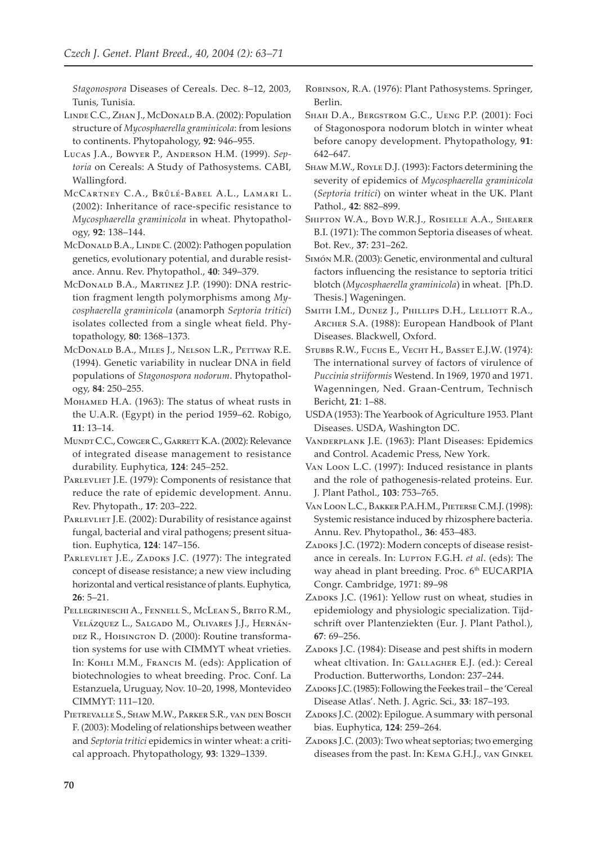Stagonospora Diseases of Cereals. Dec. 8-12, 2003, Tunis, Tunisia.

- LINDE C.C., ZHAN J., McDONALD B.A. (2002): Population structure of Mycosphaerella graminicola: from lesions to continents. Phytopahology, 92: 946-955.
- LUCAS J.A., BOWYER P., ANDERSON H.M. (1999). Septoria on Cereals: A Study of Pathosystems. CABI, Wallingford.
- MCCARTNEY C.A., BRÛLÉ-BABEL A.L., LAMARI L. (2002): Inheritance of race-specific resistance to Mycosphaerella graminicola in wheat. Phytopathology, 92: 138-144.
- McDonald B.A., LINDE C. (2002): Pathogen population genetics, evolutionary potential, and durable resistance. Annu. Rev. Phytopathol., 40: 349-379.
- McDONALD B.A., MARTINEZ J.P. (1990): DNA restriction fragment length polymorphisms among Mycosphaerella graminicola (anamorph Septoria tritici) isolates collected from a single wheat field. Phytopathology, 80: 1368-1373.
- MCDONALD B.A., MILES J., NELSON L.R., PETTWAY R.E. (1994). Genetic variability in nuclear DNA in field populations of Stagonospora nodorum. Phytopathology, 84: 250-255.
- Монамер Н.А. (1963): The status of wheat rusts in the U.A.R. (Egypt) in the period 1959-62. Robigo,  $11:13-14.$
- MUNDT C.C., COWGER C., GARRETT K.A. (2002): Relevance of integrated disease management to resistance durability. Euphytica, 124: 245-252.
- PARLEVLIET J.E. (1979): Components of resistance that reduce the rate of epidemic development. Annu. Rev. Phytopath., 17: 203-222.
- PARLEVLIET J.E. (2002): Durability of resistance against fungal, bacterial and viral pathogens; present situation. Euphytica, 124: 147-156.
- PARLEVLIET J.E., ZADOKS J.C. (1977): The integrated concept of disease resistance; a new view including horizontal and vertical resistance of plants. Euphytica,  $26:5-21.$
- PELLEGRINESCHI A., FENNELL S., MCLEAN S., BRITO R.M., VELÁZQUEZ L., SALGADO M., OLIVARES J.J., HERNÁN-DEZ R., HOISINGTON D. (2000): Routine transformation systems for use with CIMMYT wheat vrieties. In: Конгл М.М., Francis M. (eds): Application of biotechnologies to wheat breeding. Proc. Conf. La Estanzuela, Uruguay, Nov. 10-20, 1998, Montevideo CIMMYT: 111-120.
- PIETREVALLE S., SHAW M.W., PARKER S.R., VAN DEN BOSCH F. (2003): Modeling of relationships between weather and Septoria tritici epidemics in winter wheat: a critical approach. Phytopathology, 93: 1329-1339.
- ROBINSON, R.A. (1976): Plant Pathosystems. Springer, Berlin.
- SHAH D.A., BERGSTROM G.C., UENG P.P. (2001): Foci of Stagonospora nodorum blotch in winter wheat before canopy development. Phytopathology, 91: 642-647.
- SHAW M.W., ROYLE D.J. (1993): Factors determining the severity of epidemics of Mycosphaerella graminicola (Septoria tritici) on winter wheat in the UK. Plant Pathol., 42: 882-899.
- SHIPTON W.A., BOYD W.R.J., ROSIELLE A.A., SHEARER B.I. (1971): The common Septoria diseases of wheat. Bot. Rev., 37: 231-262.
- SIMÓN M.R. (2003): Genetic, environmental and cultural factors influencing the resistance to septoria tritici blotch (Mycosphaerella graminicola) in wheat. [Ph.D. Thesis.] Wageningen.
- SMITH I.M., DUNEZ J., PHILLIPS D.H., LELLIOTT R.A., ARCHER S.A. (1988): European Handbook of Plant Diseases. Blackwell, Oxford.
- STUBBS R.W., FUCHS E., VECHT H., BASSET E.J.W. (1974): The international survey of factors of virulence of Puccinia striiformis Westend. In 1969, 1970 and 1971. Wagenningen, Ned. Graan-Centrum, Technisch Bericht, 21: 1-88.
- USDA (1953): The Yearbook of Agriculture 1953. Plant Diseases. USDA, Washington DC.
- VANDERPLANK J.E. (1963): Plant Diseases: Epidemics and Control. Academic Press, New York.
- VAN LOON L.C. (1997): Induced resistance in plants and the role of pathogenesis-related proteins. Eur. J. Plant Pathol., 103: 753-765.
- VAN LOON L.C., BAKKER P.A.H.M., PIETERSE C.M.J. (1998): Systemic resistance induced by rhizosphere bacteria. Annu. Rev. Phytopathol., 36: 453-483.
- ZADOKS J.C. (1972): Modern concepts of disease resistance in cereals. In: LUPTON F.G.H. et al. (eds): The way ahead in plant breeding. Proc. 6<sup>th</sup> EUCARPIA Congr. Cambridge, 1971: 89-98
- ZADOKS J.C. (1961): Yellow rust on wheat, studies in epidemiology and physiologic specialization. Tijdschrift over Plantenziekten (Eur. J. Plant Pathol.),  $67:69 - 256.$
- ZADOKS J.C. (1984): Disease and pest shifts in modern wheat cltivation. In: GALLAGHER E.J. (ed.): Cereal Production. Butterworths, London: 237-244.
- ZADOKS J.C. (1985): Following the Feekes trail the 'Cereal Disease Atlas'. Neth. J. Agric. Sci., 33: 187-193.
- ZADOKS J.C. (2002): Epilogue. A summary with personal bias. Euphytica, 124: 259-264.
- ZADOKS J.C. (2003): Two wheat septorias; two emerging diseases from the past. In: KEMA G.H.J., VAN GINKEL